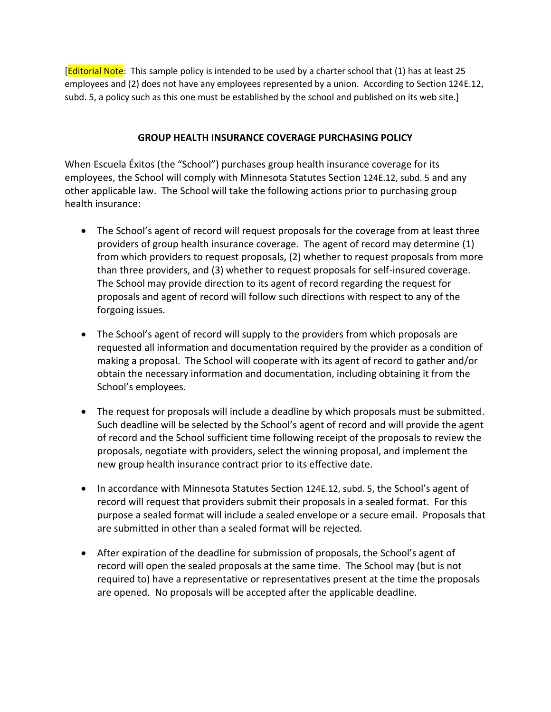**[Editorial Note**: This sample policy is intended to be used by a charter school that (1) has at least 25 employees and (2) does not have any employees represented by a union. According to Section 124E.12, subd. 5, a policy such as this one must be established by the school and published on its web site.]

## **GROUP HEALTH INSURANCE COVERAGE PURCHASING POLICY**

When Escuela Éxitos (the "School") purchases group health insurance coverage for its employees, the School will comply with Minnesota Statutes Section 124E.12, subd. 5 and any other applicable law. The School will take the following actions prior to purchasing group health insurance:

- The School's agent of record will request proposals for the coverage from at least three providers of group health insurance coverage. The agent of record may determine (1) from which providers to request proposals, (2) whether to request proposals from more than three providers, and (3) whether to request proposals for self-insured coverage. The School may provide direction to its agent of record regarding the request for proposals and agent of record will follow such directions with respect to any of the forgoing issues.
- The School's agent of record will supply to the providers from which proposals are requested all information and documentation required by the provider as a condition of making a proposal. The School will cooperate with its agent of record to gather and/or obtain the necessary information and documentation, including obtaining it from the School's employees.
- The request for proposals will include a deadline by which proposals must be submitted. Such deadline will be selected by the School's agent of record and will provide the agent of record and the School sufficient time following receipt of the proposals to review the proposals, negotiate with providers, select the winning proposal, and implement the new group health insurance contract prior to its effective date.
- In accordance with Minnesota Statutes Section 124E.12, subd. 5, the School's agent of record will request that providers submit their proposals in a sealed format. For this purpose a sealed format will include a sealed envelope or a secure email. Proposals that are submitted in other than a sealed format will be rejected.
- After expiration of the deadline for submission of proposals, the School's agent of record will open the sealed proposals at the same time. The School may (but is not required to) have a representative or representatives present at the time the proposals are opened. No proposals will be accepted after the applicable deadline.